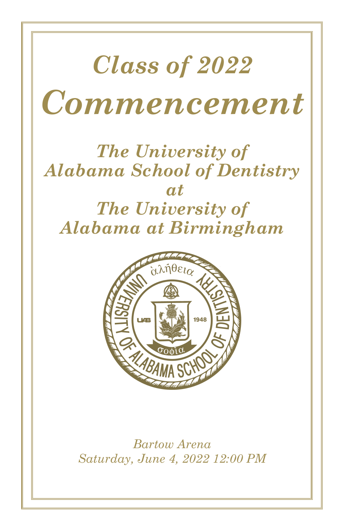# *Class of 2022 Commencement*

### *The University of Alabama School of Dentistry at The University of Alabama at Birmingham*



*Bartow Arena Saturday, June 4, 2022 12:00 PM*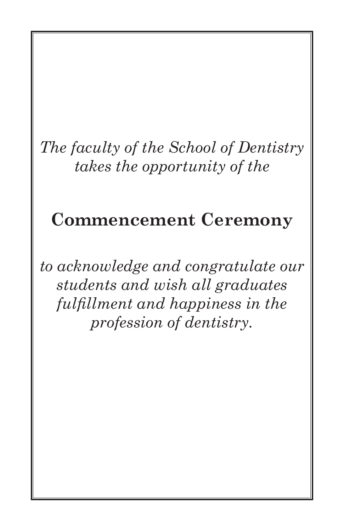### *The faculty of the School of Dentistry takes the opportunity of the*

### **Commencement Ceremony**

*to acknowledge and congratulate our students and wish all graduates fulfillment and happiness in the profession of dentistry.*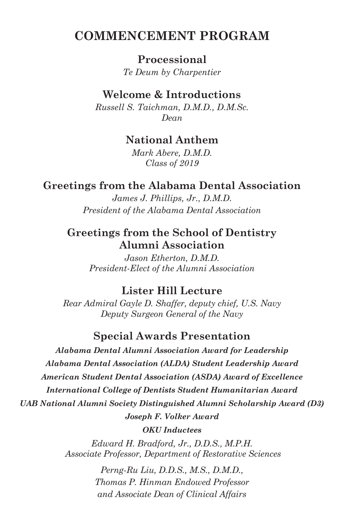### **COMMENCEMENT PROGRAM**

**Processional** *Te Deum by Charpentier*

### **Welcome & Introductions**

*Russell S. Taichman, D.M.D., D.M.Sc. Dean*

### **National Anthem**

*Mark Abere, D.M.D. Class of 2019*

### **Greetings from the Alabama Dental Association**

*James J. Phillips, Jr., D.M.D. President of the Alabama Dental Association*

### **Greetings from the School of Dentistry Alumni Association**

*Jason Etherton, D.M.D. President-Elect of the Alumni Association*

### **Lister Hill Lecture**

*Rear Admiral Gayle D. Shaffer, deputy chief, U.S. Navy Deputy Surgeon General of the Navy*

### **Special Awards Presentation**

*Alabama Dental Alumni Association Award for Leadership Alabama Dental Association (ALDA) Student Leadership Award American Student Dental Association (ASDA) Award of Excellence International College of Dentists Student Humanitarian Award UAB National Alumni Society Distinguished Alumni Scholarship Award (D3) Joseph F. Volker Award*

*OKU Inductees*

*Edward H. Bradford, Jr., D.D.S., M.P.H. Associate Professor, Department of Restorative Sciences*

> *Perng-Ru Liu, D.D.S., M.S., D.M.D., Thomas P. Hinman Endowed Professor and Associate Dean of Clinical Affairs*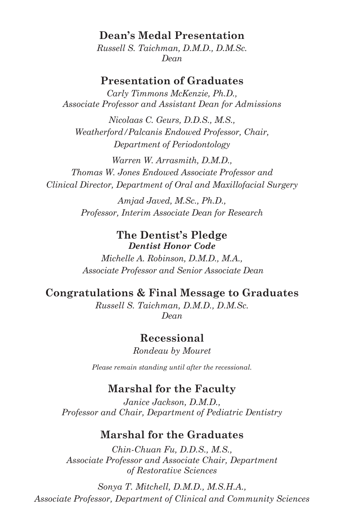### **Dean's Medal Presentation**

*Russell S. Taichman, D.M.D., D.M.Sc. Dean*

#### **Presentation of Graduates**

*Carly Timmons McKenzie, Ph.D., Associate Professor and Assistant Dean for Admissions*

*Nicolaas C. Geurs, D.D.S., M.S., Weatherford/Palcanis Endowed Professor, Chair, Department of Periodontology*

*Warren W. Arrasmith, D.M.D., Thomas W. Jones Endowed Associate Professor and Clinical Director, Department of Oral and Maxillofacial Surgery*

> *Amjad Javed, M.Sc., Ph.D., Professor, Interim Associate Dean for Research*

#### **The Dentist's Pledge** *Dentist Honor Code*

*Michelle A. Robinson, D.M.D., M.A., Associate Professor and Senior Associate Dean*

### **Congratulations & Final Message to Graduates**

*Russell S. Taichman, D.M.D., D.M.Sc. Dean*

### **Recessional**

*Rondeau by Mouret*

*Please remain standing until after the recessional.*

#### **Marshal for the Faculty**

*Janice Jackson, D.M.D., Professor and Chair, Department of Pediatric Dentistry*

### **Marshal for the Graduates**

*Chin-Chuan Fu, D.D.S., M.S., Associate Professor and Associate Chair, Department of Restorative Sciences*

*Sonya T. Mitchell, D.M.D., M.S.H.A., Associate Professor, Department of Clinical and Community Sciences*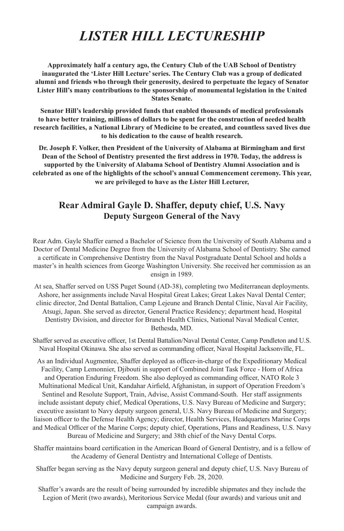### *LISTER HILL LECTURESHIP*

**Approximately half a century ago, the Century Club of the UAB School of Dentistry inaugurated the 'Lister Hill Lecture' series. The Century Club was a group of dedicated alumni and friends who through their generosity, desired to perpetuate the legacy of Senator Lister Hill's many contributions to the sponsorship of monumental legislation in the United States Senate.**

**Senator Hill's leadership provided funds that enabled thousands of medical professionals to have better training, millions of dollars to be spent for the construction of needed health research facilities, a National Library of Medicine to be created, and countless saved lives due to his dedication to the cause of health research.**

**Dr. Joseph F. Volker, then President of the University of Alabama at Birmingham and first Dean of the School of Dentistry presented the first address in 1970. Today, the address is supported by the University of Alabama School of Dentistry Alumni Association and is celebrated as one of the highlights of the school's annual Commencement ceremony. This year, we are privileged to have as the Lister Hill Lecturer,**

#### **Rear Admiral Gayle D. Shaffer, deputy chief, U.S. Navy Deputy Surgeon General of the Navy**

Rear Adm. Gayle Shaffer earned a Bachelor of Science from the University of South Alabama and a Doctor of Dental Medicine Degree from the University of Alabama School of Dentistry. She earned a certificate in Comprehensive Dentistry from the Naval Postgraduate Dental School and holds a master's in health sciences from George Washington University. She received her commission as an ensign in 1989.

At sea, Shaffer served on USS Puget Sound (AD-38), completing two Mediterranean deployments. Ashore, her assignments include Naval Hospital Great Lakes; Great Lakes Naval Dental Center; clinic director, 2nd Dental Battalion, Camp Lejeune and Branch Dental Clinic, Naval Air Facility, Atsugi, Japan. She served as director, General Practice Residency; department head, Hospital Dentistry Division, and director for Branch Health Clinics, National Naval Medical Center, Bethesda, MD.

Shaffer served as executive officer, 1st Dental Battalion/Naval Dental Center, Camp Pendleton and U.S. Naval Hospital Okinawa. She also served as commanding officer, Naval Hospital Jacksonville, FL.

As an Individual Augmentee, Shaffer deployed as officer-in-charge of the Expeditionary Medical Facility, Camp Lemonnier, Djibouti in support of Combined Joint Task Force - Horn of Africa and Operation Enduring Freedom. She also deployed as commanding officer, NATO Role 3 Multinational Medical Unit, Kandahar Airfield, Afghanistan, in support of Operation Freedom's Sentinel and Resolute Support, Train, Advise, Assist Command-South. Her staff assignments include assistant deputy chief, Medical Operations, U.S. Navy Bureau of Medicine and Surgery; executive assistant to Navy deputy surgeon general, U.S. Navy Bureau of Medicine and Surgery; liaison officer to the Defense Health Agency; director, Health Services, Headquarters Marine Corps and Medical Officer of the Marine Corps; deputy chief, Operations, Plans and Readiness, U.S. Navy Bureau of Medicine and Surgery; and 38th chief of the Navy Dental Corps.

Shaffer maintains board certification in the American Board of General Dentistry, and is a fellow of the Academy of General Dentistry and International College of Dentists.

Shaffer began serving as the Navy deputy surgeon general and deputy chief, U.S. Navy Bureau of Medicine and Surgery Feb. 28, 2020.

Shaffer's awards are the result of being surrounded by incredible shipmates and they include the Legion of Merit (two awards), Meritorious Service Medal (four awards) and various unit and campaign awards.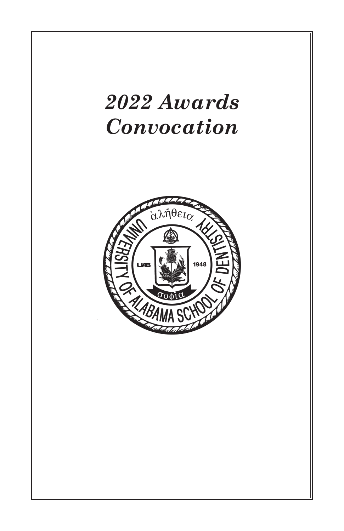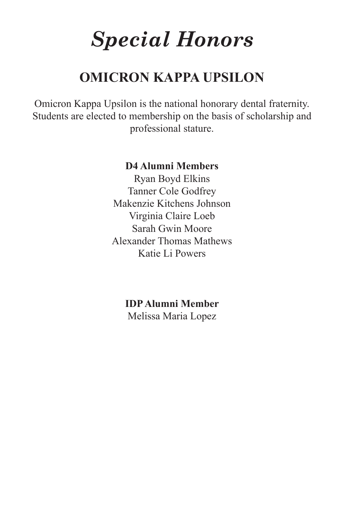# *Special Honors*

### **OMICRON KAPPA UPSILON**

Omicron Kappa Upsilon is the national honorary dental fraternity. Students are elected to membership on the basis of scholarship and professional stature.

#### **D4 Alumni Members**

Ryan Boyd Elkins Tanner Cole Godfrey Makenzie Kitchens Johnson Virginia Claire Loeb Sarah Gwin Moore Alexander Thomas Mathews Katie Li Powers

> **IDP Alumni Member** Melissa Maria Lopez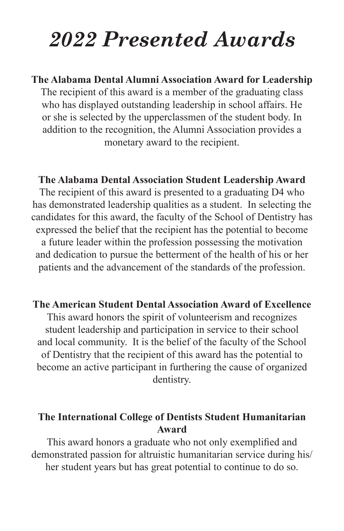## *Special Honors 2022 Presented Awards*

### **The Alabama Dental Alumni Association Award for Leadership** The recipient of this award is a member of the graduating class who has displayed outstanding leadership in school affairs. He or she is selected by the upperclassmen of the student body. In addition to the recognition, the Alumni Association provides a monetary award to the recipient.

### **The Alabama Dental Association Student Leadership Award**

The recipient of this award is presented to a graduating D4 who has demonstrated leadership qualities as a student. In selecting the candidates for this award, the faculty of the School of Dentistry has expressed the belief that the recipient has the potential to become a future leader within the profession possessing the motivation and dedication to pursue the betterment of the health of his or her patients and the advancement of the standards of the profession.

### **The American Student Dental Association Award of Excellence**

This award honors the spirit of volunteerism and recognizes student leadership and participation in service to their school and local community. It is the belief of the faculty of the School of Dentistry that the recipient of this award has the potential to become an active participant in furthering the cause of organized dentistry.

### **The International College of Dentists Student Humanitarian Award**

This award honors a graduate who not only exemplified and demonstrated passion for altruistic humanitarian service during his/ her student years but has great potential to continue to do so.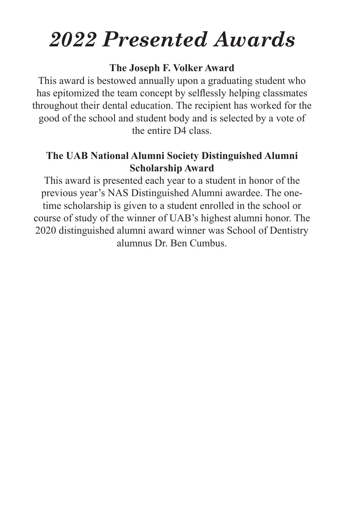# *2022 Presented Awards 2022 Awards*

### **The Joseph F. Volker Award**

This award is bestowed annually upon a graduating student who has epitomized the team concept by selflessly helping classmates throughout their dental education. The recipient has worked for the good of the school and student body and is selected by a vote of the entire D4 class.

### **The UAB National Alumni Society Distinguished Alumni Scholarship Award**

This award is presented each year to a student in honor of the previous year's NAS Distinguished Alumni awardee. The onetime scholarship is given to a student enrolled in the school or course of study of the winner of UAB's highest alumni honor. The 2020 distinguished alumni award winner was School of Dentistry alumnus Dr. Ben Cumbus.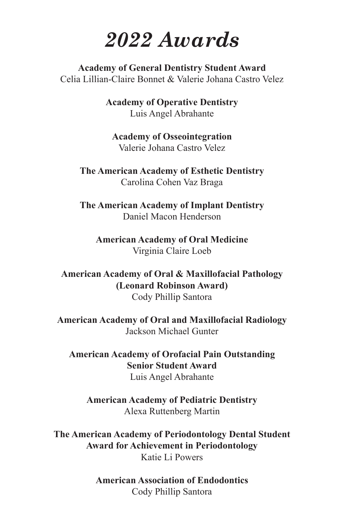### *2022 Awards*

**Academy of General Dentistry Student Award** Celia Lillian-Claire Bonnet & Valerie Johana Castro Velez

> **Academy of Operative Dentistry** Luis Angel Abrahante

**Academy of Osseointegration** Valerie Johana Castro Velez

**The American Academy of Esthetic Dentistry** Carolina Cohen Vaz Braga

**The American Academy of Implant Dentistry** Daniel Macon Henderson

**American Academy of Oral Medicine** Virginia Claire Loeb

**American Academy of Oral & Maxillofacial Pathology (Leonard Robinson Award)** Cody Phillip Santora

**American Academy of Oral and Maxillofacial Radiology** Jackson Michael Gunter

**American Academy of Orofacial Pain Outstanding Senior Student Award** Luis Angel Abrahante

**American Academy of Pediatric Dentistry** Alexa Ruttenberg Martin

**The American Academy of Periodontology Dental Student Award for Achievement in Periodontology** Katie Li Powers

> **American Association of Endodontics** Cody Phillip Santora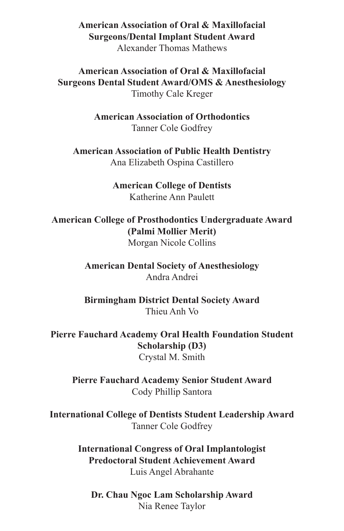**American Association of Oral & Maxillofacial Surgeons/Dental Implant Student Award** Alexander Thomas Mathews

**American Association of Oral & Maxillofacial Surgeons Dental Student Award/OMS & Anesthesiology** Timothy Cale Kreger

> **American Association of Orthodontics** Tanner Cole Godfrey

**American Association of Public Health Dentistry** Ana Elizabeth Ospina Castillero

> **American College of Dentists** Katherine Ann Paulett

**American College of Prosthodontics Undergraduate Award (Palmi Mollier Merit)** Morgan Nicole Collins

> **American Dental Society of Anesthesiology** Andra Andrei

> **Birmingham District Dental Society Award** Thieu Anh Vo

**Pierre Fauchard Academy Oral Health Foundation Student Scholarship (D3)** Crystal M. Smith

**Pierre Fauchard Academy Senior Student Award** Cody Phillip Santora

**International College of Dentists Student Leadership Award** Tanner Cole Godfrey

> **International Congress of Oral Implantologist Predoctoral Student Achievement Award** Luis Angel Abrahante

**Dr. Chau Ngoc Lam Scholarship Award** Nia Renee Taylor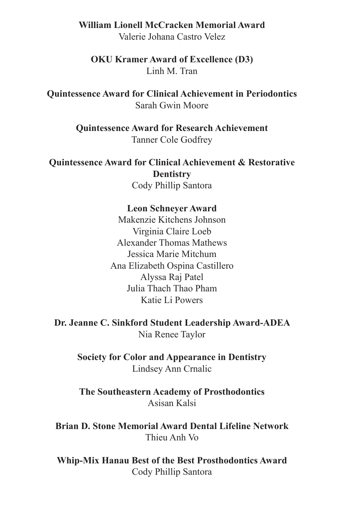### **William Lionell McCracken Memorial Award**

Valerie Johana Castro Velez

**OKU Kramer Award of Excellence (D3)** Linh M. Tran

**Quintessence Award for Clinical Achievement in Periodontics** Sarah Gwin Moore

> **Quintessence Award for Research Achievement** Tanner Cole Godfrey

**Quintessence Award for Clinical Achievement & Restorative Dentistry** Cody Phillip Santora

#### **Leon Schneyer Award**

Makenzie Kitchens Johnson Virginia Claire Loeb Alexander Thomas Mathews Jessica Marie Mitchum Ana Elizabeth Ospina Castillero Alyssa Raj Patel Julia Thach Thao Pham Katie Li Powers

**Dr. Jeanne C. Sinkford Student Leadership Award-ADEA** Nia Renee Taylor

**Society for Color and Appearance in Dentistry** Lindsey Ann Crnalic

**The Southeastern Academy of Prosthodontics** Asisan Kalsi

**Brian D. Stone Memorial Award Dental Lifeline Network** Thieu Anh Vo

**Whip-Mix Hanau Best of the Best Prosthodontics Award** Cody Phillip Santora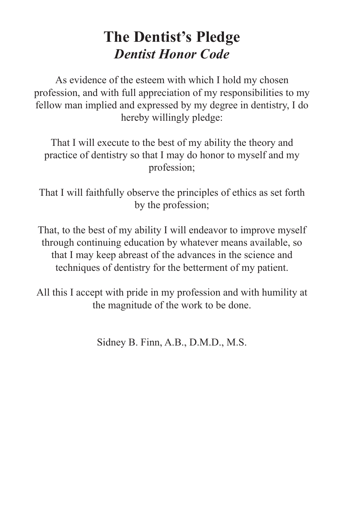### **The Dentist's Pledge** *Dentist Honor Code*

As evidence of the esteem with which I hold my chosen profession, and with full appreciation of my responsibilities to my fellow man implied and expressed by my degree in dentistry, I do hereby willingly pledge:

That I will execute to the best of my ability the theory and practice of dentistry so that I may do honor to myself and my profession;

That I will faithfully observe the principles of ethics as set forth by the profession;

That, to the best of my ability I will endeavor to improve myself through continuing education by whatever means available, so that I may keep abreast of the advances in the science and techniques of dentistry for the betterment of my patient.

All this I accept with pride in my profession and with humility at the magnitude of the work to be done.

Sidney B. Finn, A.B., D.M.D., M.S.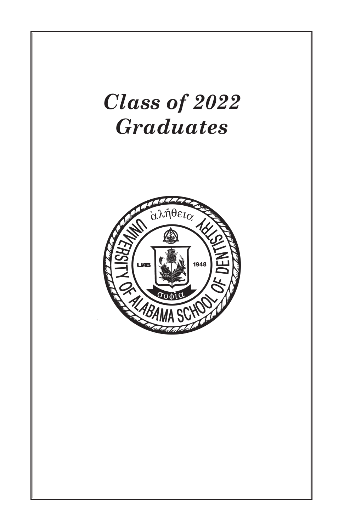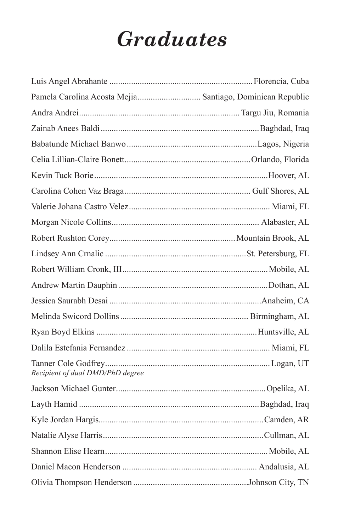# *Graduates*

| Pamela Carolina Acosta Mejia Santiago, Dominican Republic |  |
|-----------------------------------------------------------|--|
|                                                           |  |
|                                                           |  |
|                                                           |  |
|                                                           |  |
|                                                           |  |
|                                                           |  |
|                                                           |  |
|                                                           |  |
|                                                           |  |
|                                                           |  |
|                                                           |  |
|                                                           |  |
|                                                           |  |
|                                                           |  |
|                                                           |  |
|                                                           |  |
| Recipient of dual DMD/PhD degree                          |  |
|                                                           |  |
|                                                           |  |
|                                                           |  |
|                                                           |  |
|                                                           |  |
|                                                           |  |
|                                                           |  |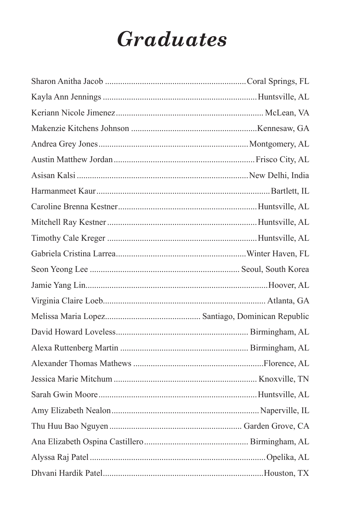# *Graduates*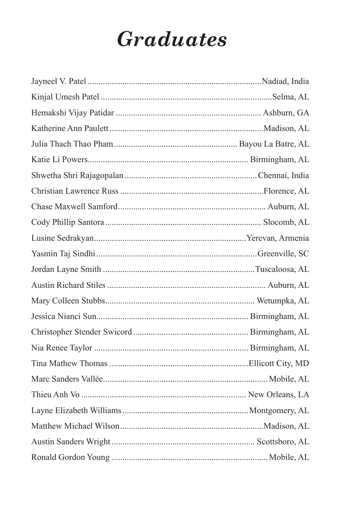# **Graduates**